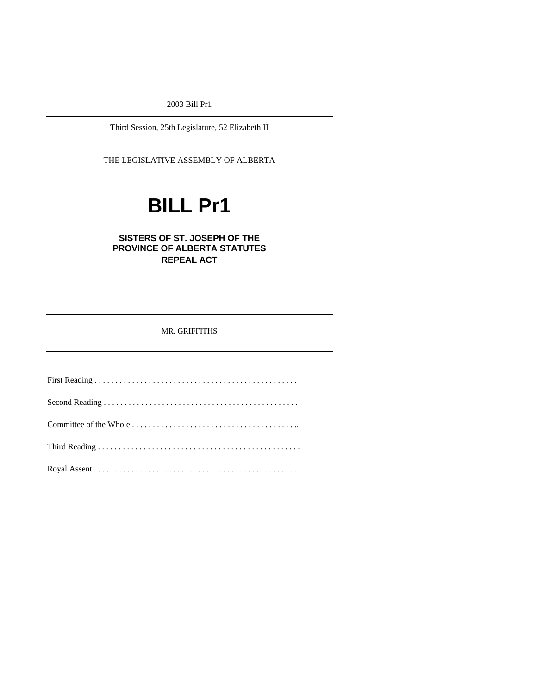2003 Bill Pr1

Third Session, 25th Legislature, 52 Elizabeth II

THE LEGISLATIVE ASSEMBLY OF ALBERTA

# **BILL Pr1**

### **SISTERS OF ST. JOSEPH OF THE PROVINCE OF ALBERTA STATUTES REPEAL ACT**

MR. GRIFFITHS

First Reading . . . . . . . . . . . . . . . . . . . . . . . . . . . . . . . . . . . . . . . . . . . . . . . . . Second Reading . . . . . . . . . . . . . . . . . . . . . . . . . . . . . . . . . . . . . . . . . . . . . . . Committee of the Whole . . . . . . . . . . . . . . . . . . . . . . . . . . . . . . . . . . . . . . . .. Third Reading . . . . . . . . . . . . . . . . . . . . . . . . . . . . . . . . . . . . . . . . . . . . . . . . . Royal Assent . . . . . . . . . . . . . . . . . . . . . . . . . . . . . . . . . . . . . . . . . . . . . . . . .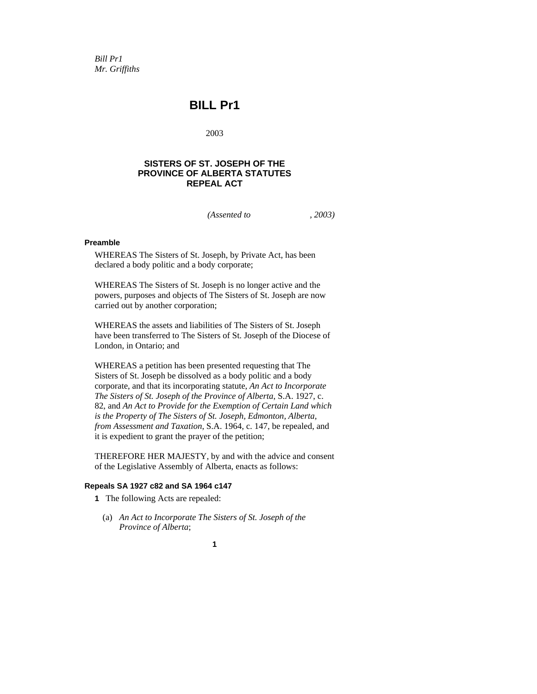*Bill Pr1 Mr. Griffiths* 

## **BILL Pr1**

2003

#### **SISTERS OF ST. JOSEPH OF THE PROVINCE OF ALBERTA STATUTES REPEAL ACT**

*(Assented to , 2003)* 

#### **Preamble**

WHEREAS The Sisters of St. Joseph, by Private Act, has been declared a body politic and a body corporate;

WHEREAS The Sisters of St. Joseph is no longer active and the powers, purposes and objects of The Sisters of St. Joseph are now carried out by another corporation;

WHEREAS the assets and liabilities of The Sisters of St. Joseph have been transferred to The Sisters of St. Joseph of the Diocese of London, in Ontario; and

WHEREAS a petition has been presented requesting that The Sisters of St. Joseph be dissolved as a body politic and a body corporate, and that its incorporating statute, *An Act to Incorporate The Sisters of St. Joseph of the Province of Alberta*, S.A. 1927, c. 82, and *An Act to Provide for the Exemption of Certain Land which is the Property of The Sisters of St. Joseph, Edmonton, Alberta, from Assessment and Taxation*, S.A. 1964, c. 147, be repealed, and it is expedient to grant the prayer of the petition;

THEREFORE HER MAJESTY, by and with the advice and consent of the Legislative Assembly of Alberta, enacts as follows:

#### **Repeals SA 1927 c82 and SA 1964 c147**

**1** The following Acts are repealed:

 (a) *An Act to Incorporate The Sisters of St. Joseph of the Province of Alberta*;